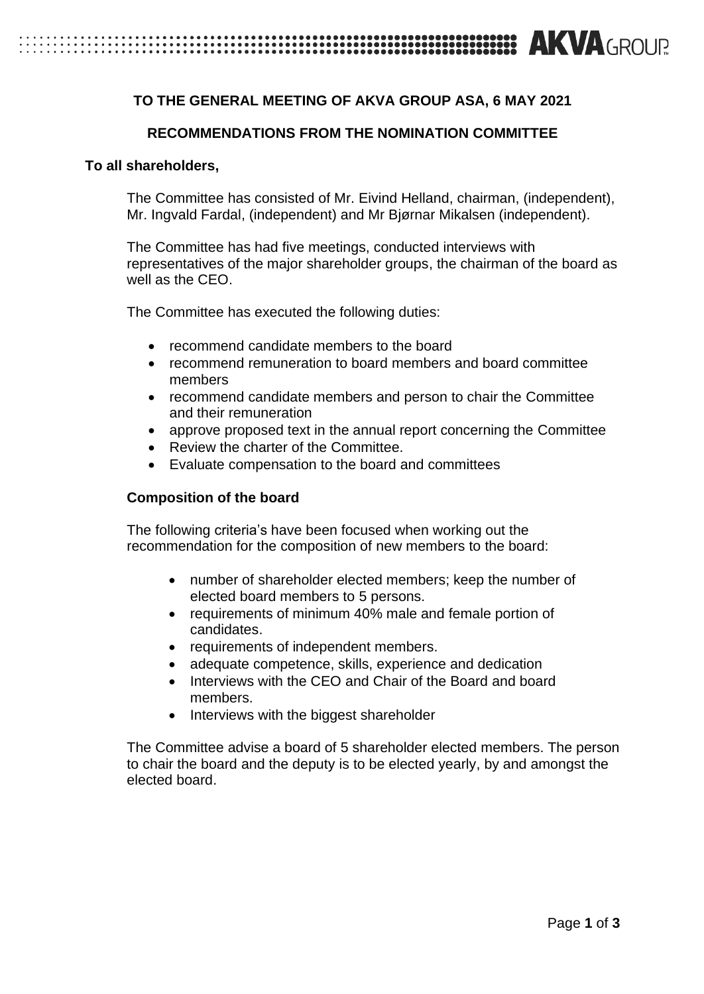# **EXAMPLE TO A ROUR SERVICE IN EXAMPLE TO A ROUR SERVICE IN EXAMPLE TO A ROUR SERVICE IN EXAMPLE TO A ROUR SERVICE**

# **TO THE GENERAL MEETING OF AKVA GROUP ASA, 6 MAY 2021**

## **RECOMMENDATIONS FROM THE NOMINATION COMMITTEE**

#### **To all shareholders,**

The Committee has consisted of Mr. Eivind Helland, chairman, (independent), Mr. Ingvald Fardal, (independent) and Mr Bjørnar Mikalsen (independent).

The Committee has had five meetings, conducted interviews with representatives of the major shareholder groups, the chairman of the board as well as the CEO.

The Committee has executed the following duties:

- recommend candidate members to the board
- recommend remuneration to board members and board committee members
- recommend candidate members and person to chair the Committee and their remuneration
- approve proposed text in the annual report concerning the Committee
- Review the charter of the Committee.
- Evaluate compensation to the board and committees

#### **Composition of the board**

The following criteria's have been focused when working out the recommendation for the composition of new members to the board:

- number of shareholder elected members; keep the number of elected board members to 5 persons.
- requirements of minimum 40% male and female portion of candidates.
- requirements of independent members.
- adequate competence, skills, experience and dedication
- Interviews with the CEO and Chair of the Board and board members.
- Interviews with the biggest shareholder

The Committee advise a board of 5 shareholder elected members. The person to chair the board and the deputy is to be elected yearly, by and amongst the elected board.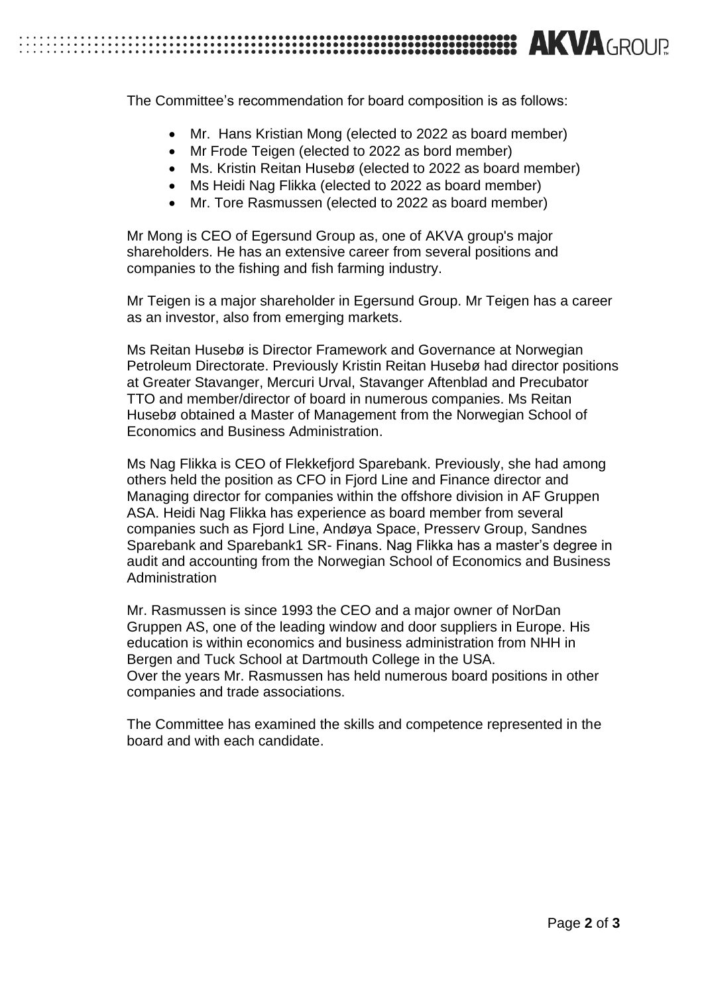

The Committee's recommendation for board composition is as follows:

- Mr. Hans Kristian Mong (elected to 2022 as board member)
- Mr Frode Teigen (elected to 2022 as bord member)
- Ms. Kristin Reitan Husebø (elected to 2022 as board member)
- Ms Heidi Nag Flikka (elected to 2022 as board member)
- Mr. Tore Rasmussen (elected to 2022 as board member)

Mr Mong is CEO of Egersund Group as, one of AKVA group's major shareholders. He has an extensive career from several positions and companies to the fishing and fish farming industry.

Mr Teigen is a major shareholder in Egersund Group. Mr Teigen has a career as an investor, also from emerging markets.

Ms Reitan Husebø is Director Framework and Governance at Norwegian Petroleum Directorate. Previously Kristin Reitan Husebø had director positions at Greater Stavanger, Mercuri Urval, Stavanger Aftenblad and Precubator TTO and member/director of board in numerous companies. Ms Reitan Husebø obtained a Master of Management from the Norwegian School of Economics and Business Administration.

Ms Nag Flikka is CEO of Flekkefjord Sparebank. Previously, she had among others held the position as CFO in Fjord Line and Finance director and Managing director for companies within the offshore division in AF Gruppen ASA. Heidi Nag Flikka has experience as board member from several companies such as Fjord Line, Andøya Space, Presserv Group, Sandnes Sparebank and Sparebank1 SR- Finans. Nag Flikka has a master's degree in audit and accounting from the Norwegian School of Economics and Business Administration

Mr. Rasmussen is since 1993 the CEO and a major owner of NorDan Gruppen AS, one of the leading window and door suppliers in Europe. His education is within economics and business administration from NHH in Bergen and Tuck School at Dartmouth College in the USA. Over the years Mr. Rasmussen has held numerous board positions in other companies and trade associations.

The Committee has examined the skills and competence represented in the board and with each candidate.